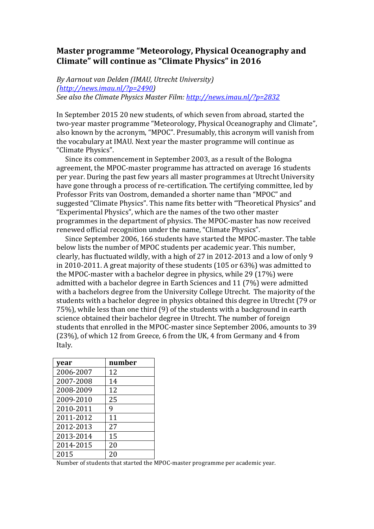## Master programme "Meteorology, Physical Oceanography and **Climate" will continue as "Climate Physics" in 2016**

By Aarnout van Delden (IMAU, Utrecht University) *(http://news.imau.nl/?p=2490)* See also the Climate Physics Master Film: http://news.imau.nl/?p=2832

In September 2015 20 new students, of which seven from abroad, started the two-year master programme "Meteorology, Physical Oceanography and Climate". also known by the acronym, "MPOC". Presumably, this acronym will vanish from the vocabulary at IMAU. Next year the master programme will continue as "Climate Physics".

Since its commencement in September 2003, as a result of the Bologna agreement, the MPOC-master programme has attracted on average 16 students per year. During the past few years all master programmes at Utrecht University have gone through a process of re-certification. The certifying committee, led by Professor Frits van Oostrom, demanded a shorter name than "MPOC" and suggested "Climate Physics". This name fits better with "Theoretical Physics" and "Experimental Physics", which are the names of the two other master programmes in the department of physics. The MPOC-master has now received renewed official recognition under the name, "Climate Physics".

Since September 2006, 166 students have started the MPOC-master. The table below lists the number of MPOC students per academic year. This number, clearly, has fluctuated wildly, with a high of 27 in 2012-2013 and a low of only 9 in 2010-2011. A great majority of these students  $(105 \text{ or } 63\%)$  was admitted to the MPOC-master with a bachelor degree in physics, while  $29$  (17%) were admitted with a bachelor degree in Earth Sciences and 11 (7%) were admitted with a bachelors degree from the University College Utrecht. The majority of the students with a bachelor degree in physics obtained this degree in Utrecht (79 or 75%), while less than one third (9) of the students with a background in earth science obtained their bachelor degree in Utrecht. The number of foreign students that enrolled in the MPOC-master since September 2006, amounts to 39 (23%), of which 12 from Greece, 6 from the UK, 4 from Germany and 4 from Italy. 

| year      | number |
|-----------|--------|
| 2006-2007 | 12     |
| 2007-2008 | 14     |
| 2008-2009 | 12     |
| 2009-2010 | 25     |
| 2010-2011 | 9      |
| 2011-2012 | 11     |
| 2012-2013 | 27     |
| 2013-2014 | 15     |
| 2014-2015 | 20     |
| 2015      | 20     |

Number of students that started the MPOC-master programme per academic year.